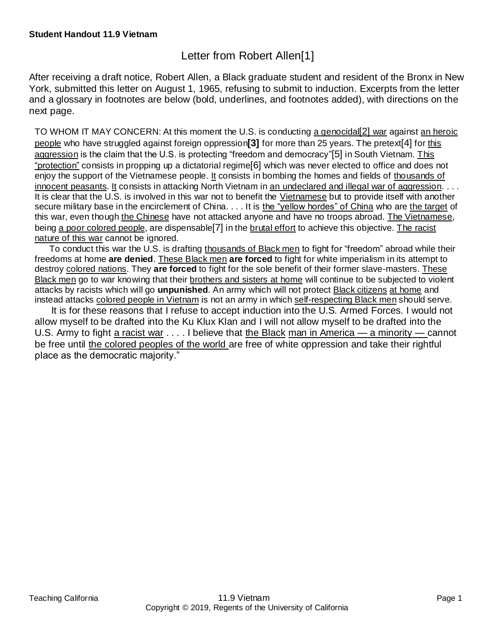## Letter from Robert Allen[1]

After receiving a draft notice, Robert Allen, a Black graduate student and resident of the Bronx in New York, submitted this letter on August 1, 1965, refusing to submit to induction. Excerpts from the letter and a glossary in footnotes are below (bold, underlines, and footnotes added), with directions on the next page.

TO WHOM IT MAY CONCERN: At this moment the U.S. is conducting a genocidal[2] war against an heroic people who have struggled against foreign oppression**[3]** for more than 25 years. The pretext[4] for this aggression is the claim that the U.S. is protecting "freedom and democracy"[5] in South Vietnam. This "protection" consists in propping up a dictatorial regime[6] which was never elected to office and does not enjoy the support of the Vietnamese people. It consists in bombing the homes and fields of thousands of innocent peasants. It consists in attacking North Vietnam in an undeclared and illegal war of aggression. . . . It is clear that the U.S. is involved in this war not to benefit the Vietnamese but to provide itself with another secure military base in the encirclement of China. . . . It is the "yellow hordes" of China who are the target of this war, even though the Chinese have not attacked anyone and have no troops abroad. The Vietnamese, being a poor colored people, are dispensable[7] in the brutal effort to achieve this objective. The racist nature of this war cannot be ignored.

 To conduct this war the U.S. is drafting thousands of Black men to fight for "freedom" abroad while their freedoms at home **are denied**. These Black men **are forced** to fight for white imperialism in its attempt to destroy colored nations. They **are forced** to fight for the sole benefit of their former slave-masters. These Black men go to war knowing that their brothers and sisters at home will continue to be subjected to violent attacks by racists which will go **unpunished**. An army which will not protect Black citizens at home and instead attacks colored people in Vietnam is not an army in which self-respecting Black men should serve.

 It is for these reasons that I refuse to accept induction into the U.S. Armed Forces. I would not allow myself to be drafted into the Ku Klux Klan and I will not allow myself to be drafted into the U.S. Army to fight a racist war . . . . I believe that the Black man in America — a minority — cannot be free until the colored peoples of the world are free of white oppression and take their rightful place as the democratic majority."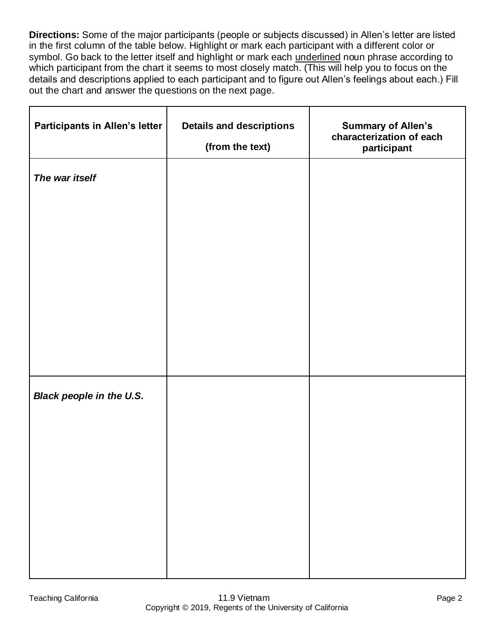**Directions:** Some of the major participants (people or subjects discussed) in Allen's letter are listed in the first column of the table below. Highlight or mark each participant with a different color or symbol. Go back to the letter itself and highlight or mark each underlined noun phrase according to which participant from the chart it seems to most closely match. (This will help you to focus on the details and descriptions applied to each participant and to figure out Allen's feelings about each.) Fill out the chart and answer the questions on the next page.

| <b>Participants in Allen's letter</b> | <b>Details and descriptions</b><br>(from the text) | <b>Summary of Allen's</b><br>characterization of each<br>participant |
|---------------------------------------|----------------------------------------------------|----------------------------------------------------------------------|
| The war itself                        |                                                    |                                                                      |
|                                       |                                                    |                                                                      |
|                                       |                                                    |                                                                      |
|                                       |                                                    |                                                                      |
|                                       |                                                    |                                                                      |
|                                       |                                                    |                                                                      |
| <b>Black people in the U.S.</b>       |                                                    |                                                                      |
|                                       |                                                    |                                                                      |
|                                       |                                                    |                                                                      |
|                                       |                                                    |                                                                      |
|                                       |                                                    |                                                                      |
|                                       |                                                    |                                                                      |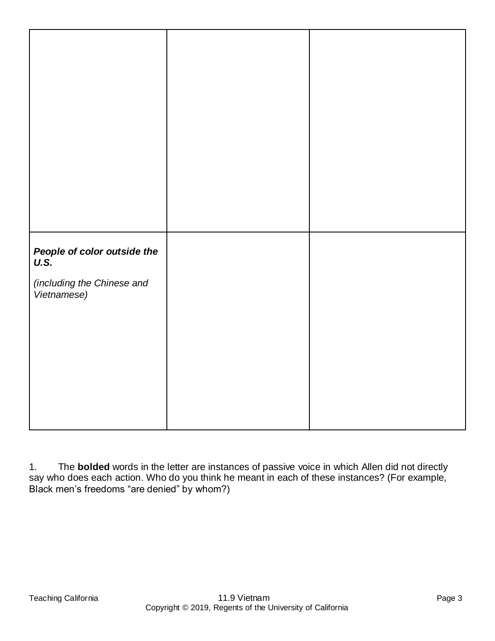| People of color outside the<br>U.S. |  |
|-------------------------------------|--|
|                                     |  |
|                                     |  |
|                                     |  |
| (including the Chinese and          |  |
|                                     |  |
| Vietnamese)                         |  |
|                                     |  |
|                                     |  |
|                                     |  |
|                                     |  |
|                                     |  |
|                                     |  |
|                                     |  |
|                                     |  |
|                                     |  |
|                                     |  |
|                                     |  |
|                                     |  |
|                                     |  |
|                                     |  |
|                                     |  |
|                                     |  |
|                                     |  |
|                                     |  |

1. The **bolded** words in the letter are instances of passive voice in which Allen did not directly say who does each action. Who do you think he meant in each of these instances? (For example, Black men's freedoms "are denied" by whom?)